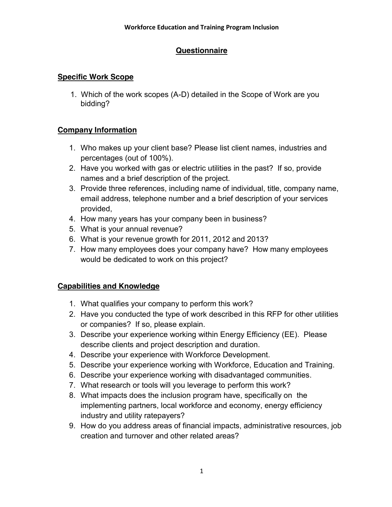# **Questionnaire**

### **Specific Work Scope**

 1. Which of the work scopes (A-D) detailed in the Scope of Work are you bidding?

### **Company Information**

- 1. Who makes up your client base? Please list client names, industries and percentages (out of 100%).
- 2. Have you worked with gas or electric utilities in the past? If so, provide names and a brief description of the project.
- 3. Provide three references, including name of individual, title, company name, email address, telephone number and a brief description of your services provided,
- 4. How many years has your company been in business?
- 5. What is your annual revenue?
- 6. What is your revenue growth for 2011, 2012 and 2013?
- 7. How many employees does your company have? How many employees would be dedicated to work on this project?

# **Capabilities and Knowledge**

- 1. What qualifies your company to perform this work?
- 2. Have you conducted the type of work described in this RFP for other utilities or companies? If so, please explain.
- 3. Describe your experience working within Energy Efficiency (EE). Please describe clients and project description and duration.
- 4. Describe your experience with Workforce Development.
- 5. Describe your experience working with Workforce, Education and Training.
- 6. Describe your experience working with disadvantaged communities.
- 7. What research or tools will you leverage to perform this work?
- 8. What impacts does the inclusion program have, specifically on the implementing partners, local workforce and economy, energy efficiency industry and utility ratepayers?
- 9. How do you address areas of financial impacts, administrative resources, job creation and turnover and other related areas?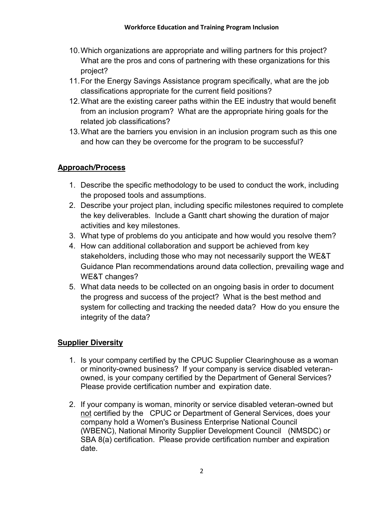- 10.Which organizations are appropriate and willing partners for this project? What are the pros and cons of partnering with these organizations for this project?
- 11.For the Energy Savings Assistance program specifically, what are the job classifications appropriate for the current field positions?
- 12.What are the existing career paths within the EE industry that would benefit from an inclusion program? What are the appropriate hiring goals for the related job classifications?
- 13.What are the barriers you envision in an inclusion program such as this one and how can they be overcome for the program to be successful?

### **Approach/Process**

- 1. Describe the specific methodology to be used to conduct the work, including the proposed tools and assumptions.
- 2. Describe your project plan, including specific milestones required to complete the key deliverables. Include a Gantt chart showing the duration of major activities and key milestones.
- 3. What type of problems do you anticipate and how would you resolve them?
- 4. How can additional collaboration and support be achieved from key stakeholders, including those who may not necessarily support the WE&T Guidance Plan recommendations around data collection, prevailing wage and WE&T changes?
- 5. What data needs to be collected on an ongoing basis in order to document the progress and success of the project? What is the best method and system for collecting and tracking the needed data? How do you ensure the integrity of the data?

# **Supplier Diversity**

- 1. Is your company certified by the CPUC Supplier Clearinghouse as a woman or minority-owned business? If your company is service disabled veteranowned, is your company certified by the Department of General Services? Please provide certification number and expiration date.
- 2. If your company is woman, minority or service disabled veteran-owned but not certified by the CPUC or Department of General Services, does your company hold a Women's Business Enterprise National Council (WBENC), National Minority Supplier Development Council (NMSDC) or SBA 8(a) certification. Please provide certification number and expiration date.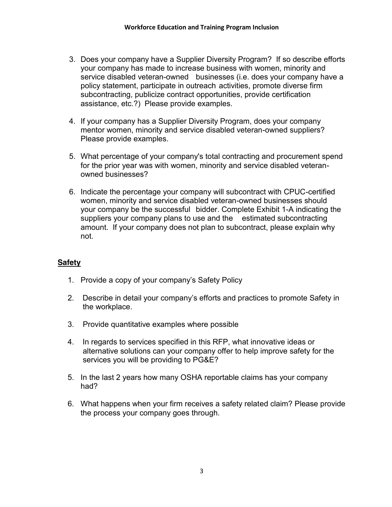- 3. Does your company have a Supplier Diversity Program? If so describe efforts your company has made to increase business with women, minority and service disabled veteran-owned businesses (i.e. does your company have a policy statement, participate in outreach activities, promote diverse firm subcontracting, publicize contract opportunities, provide certification assistance, etc.?) Please provide examples.
- 4. If your company has a Supplier Diversity Program, does your company mentor women, minority and service disabled veteran-owned suppliers? Please provide examples.
- 5. What percentage of your company's total contracting and procurement spend for the prior year was with women, minority and service disabled veteranowned businesses?
- 6. Indicate the percentage your company will subcontract with CPUC-certified women, minority and service disabled veteran-owned businesses should your company be the successful bidder. Complete Exhibit 1-A indicating the suppliers your company plans to use and the estimated subcontracting amount. If your company does not plan to subcontract, please explain why not.

#### **Safety**

- 1. Provide a copy of your company's Safety Policy
- 2. Describe in detail your company's efforts and practices to promote Safety in the workplace.
- 3. Provide quantitative examples where possible
- 4. In regards to services specified in this RFP, what innovative ideas or alternative solutions can your company offer to help improve safety for the services you will be providing to PG&E?
- 5. In the last 2 years how many OSHA reportable claims has your company had?
- 6. What happens when your firm receives a safety related claim? Please provide the process your company goes through.